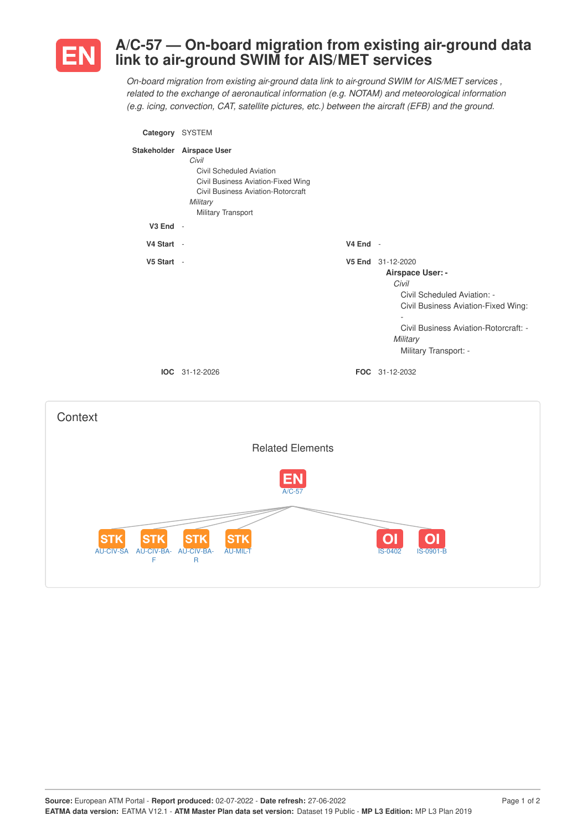

# **A/C-57 — On-board migration from existing air-ground data link to air-ground SWIM for AIS/MET services**

*On-board migration from existing air-ground data link to air-ground SWIM for AIS/MET services , related to the exchange of aeronautical information (e.g. NOTAM) and meteorological information (e.g. icing, convection, CAT, satellite pictures, etc.) between the aircraft (EFB) and the ground.*